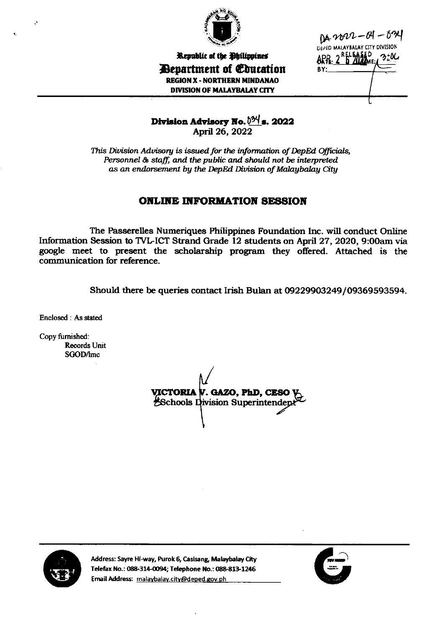

DA 2022-01-024 DEPED MALAYBALAY CITY DIVISION 320C BY:

## Republic of the Philippines **Department of Education REGION X - NORTHERN MINDANAO DIVISION OF MALAYBALAY CITY**

Division Advisory No. 024 s. 2022 April 26, 2022

This Division Advisory is issued for the information of DepEd Officials, Personnel & staff, and the public and should not be interpreted as an endorsement by the DepEd Division of Malaybalay City

## **ONLINE INFORMATION SESSION**

The Passerelles Numeriques Philippines Foundation Inc. will conduct Online Information Session to TVL-ICT Strand Grade 12 students on April 27, 2020, 9:00am via google meet to present the scholarship program they offered. Attached is the communication for reference.

Should there be queries contact Irish Bulan at 09229903249/09369593594.

Enclosed: As stated

Copy furnished: **Records Unit** SGOD/lmc

VICTORIA V. GAZO, PhD, CESO V **Schools Division Superintendep** 



Address: Sayre Hi-way, Purok 6, Casisang, Malaybalay City Telefax No.: 088-314-0094; Telephone No.: 088-813-1246 Email Address: malaybalay.city@deped.gov.ph

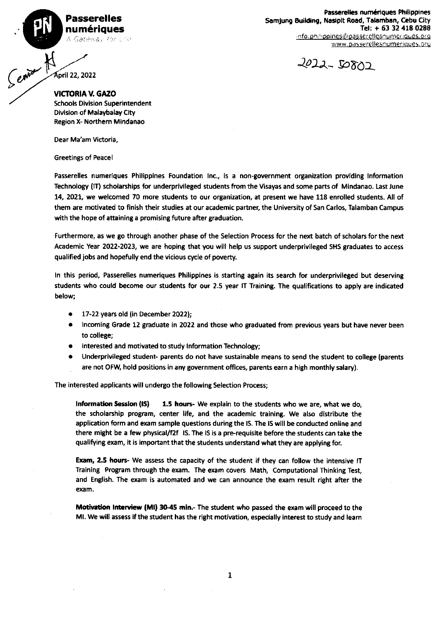Passerelles num6riques A Gateway for Edd-

www.passerellesnumeriques.org Passerelles numériques Philippines Samjung Building, Nasipit Road, Talamban, Cebu City Tel:  $+ 63$  32 418 0288 info .ph//ppines@passerellesnumeriques.org



pnl ZZ,2022

Service K **VICTORIA V. GAZO** Schools Division Superintendent Division of Malaybalay City Region X- Northern Mindanao

Dear Ma'am Victoria,

Greetings of Peacel

Passerelles numeriques Philippines Foundation lnc., is a non-government organization providing lnformation Technology (IT) scholarships for underprivileged students from the Visayas and some parts of Mindanao. Last June 14,2O2!, we welcomed 70 more students to our organization, at present we have 118 enrolled students. All of them are motivated to finish their studies at our academic partner, the University of San Carlos, Talamban Campus with the hope of attaining a promising future after graduation.

Furthermore, as we go through another phase of the Selection Process for the next batch of scholars for the next Academic Yeat 2022-2023, we are hoping that you will help us support underprivileged SHS graduates to access qualified jobs and hopefully end the vicious cycle of poverty.

In this period, Passerelles numeriques Philippines is starting again its search for underprivileged but deserving students who could become our students for our 2.5 year IT Training. The qualifications to apply are indicated below;

- 17-22 years old (in December 2022);
- Incoming Grade 12 graduate in 2022 and those who graduated from previous years but have never been to college;
- Interested and motivated to study Information Technology;
- Underprivileged student- parents do not have sustainable means to send the student to college (parents are not OFW, hold positions in any government offices, parents earn a high monthly salary).

The interested applicants will undergo the following Selection Process;

Information Session  $(IS)$  1.5 hours- We explain to the students who we are, what we do, the scholarship program, center life, and the academic training. We also distribute the application form and exam sample questions during the lS. The 15 will be conducted online and there might be a few physical/f2f IS. The IS is a pre-requisite before the students can take the qualifying exam, it is important that the students understand what they are applying for.

Exam, 2.5 hours- We assess the capacity of the student if they can follow the intensive IT Training Program through the exam. The exam covers Math, Computational Thinking Test, and English. The exam is automated and we can announce the exam result right after the exam.

Motivation Interview (MI) 30-45 min.- The student who passed the exam will proceed to the MI. We will assess if the student has the right motivation, especially interest to study and learn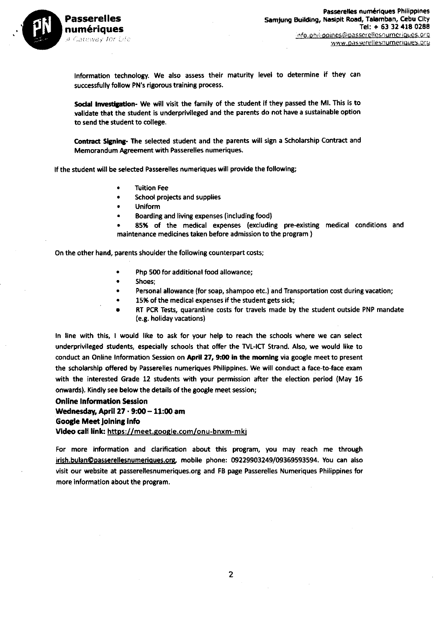

Information technology. We also assess their maturity level to determine if they can successfully follow PN's rigorous training process.

Social Investigation- We will visit the family of the student if they passed the MI. This is to validate that the student is underprivileged and the parents do not have a sustainable option to send the student to college.

Contract Signing- The selected student and the parents will sign a Scholarship Contract and Memorandum Agreement with Passerelles numeriques.

If the student will be selected Passerelles numeriques will provide the following;

- **Tuition Fee**
- School projects and supplies
- **Uniform**
- Boarding and living expenses (including food)
- 85% of the medical expenses (excluding pre-existing medical conditions and maintenance medicines taken before admission to the program)

On the other hand, parents shoulder the following counterpart costs;

- Php 500 for additional food allowance:
- Shoes:
- Personal allowance (for soap, shampoo etc.) and Transportation cost during vacation;
- 15% of the medical expenses if the student gets sick;
- RT PCR Tests, quarantine costs for travels made by the student outside PNP mandate (e.g. holiday vacations)

In line with this, I would like to ask for your help to reach the schools where we can select underprivileged students, especially schools that offer the TVL-ICT Strand. Also, we would like to conduct an Online Information Session on April 27, 9:00 in the morning via google meet to present the scholarship offered by Passerelles numeriques Philippines. We will conduct a face-to-face exam with the interested Grade 12 students with your permission after the election period (May 16 onwards). Kindly see below the details of the google meet session;

## **Online Information Session**

Wednesday, April  $27 \cdot 9:00 - 11:00$  am **Google Meet joining info** Video call link: https://meet.google.com/onu-bnxm-mkj

For more information and clarification about this program, you may reach me through irish.bulan@passerellesnumeriques.org, mobile phone: 09229903249/09369593594. You can also visit our website at passerellesnumeriques.org and FB page Passerelles Numeriques Philippines for more information about the program.